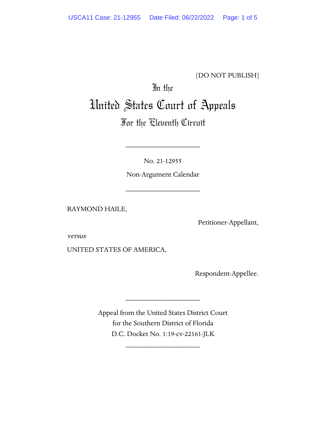## [DO NOT PUBLISH]

# In the United States Court of Appeals

# For the Eleventh Circuit

No. 21-12955

\_\_\_\_\_\_\_\_\_\_\_\_\_\_\_\_\_\_\_\_

Non-Argument Calendar

\_\_\_\_\_\_\_\_\_\_\_\_\_\_\_\_\_\_\_\_

RAYMOND HAILE,

Petitioner-Appellant,

versus

UNITED STATES OF AMERICA,

Respondent-Appellee.

Appeal from the United States District Court for the Southern District of Florida D.C. Docket No. 1:19-cv-22161-JLK

\_\_\_\_\_\_\_\_\_\_\_\_\_\_\_\_\_\_\_\_

\_\_\_\_\_\_\_\_\_\_\_\_\_\_\_\_\_\_\_\_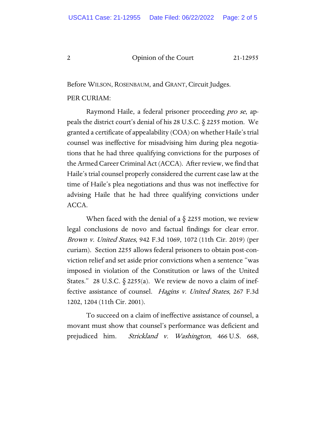#### 2 Opinion of the Court 21-12955

Before WILSON, ROSENBAUM, and GRANT, Circuit Judges.

#### PER CURIAM:

Raymond Haile, a federal prisoner proceeding *pro se*, appeals the district court's denial of his 28 U.S.C. § 2255 motion. We granted a certificate of appealability (COA) on whether Haile's trial counsel was ineffective for misadvising him during plea negotiations that he had three qualifying convictions for the purposes of the Armed Career Criminal Act (ACCA). After review, we find that Haile's trial counsel properly considered the current case law at the time of Haile's plea negotiations and thus was not ineffective for advising Haile that he had three qualifying convictions under ACCA.

When faced with the denial of a  $\S$  2255 motion, we review legal conclusions de novo and factual findings for clear error. Brown v. United States, 942 F.3d 1069, 1072 (11th Cir. 2019) (per curiam). Section 2255 allows federal prisoners to obtain post-conviction relief and set aside prior convictions when a sentence "was imposed in violation of the Constitution or laws of the United States." 28 U.S.C.  $\S$  2255(a). We review de novo a claim of ineffective assistance of counsel. Hagins v. United States, 267 F.3d 1202, 1204 (11th Cir. 2001).

To succeed on a claim of ineffective assistance of counsel, a movant must show that counsel's performance was deficient and prejudiced him. Strickland v. Washington, 466 U.S. 668,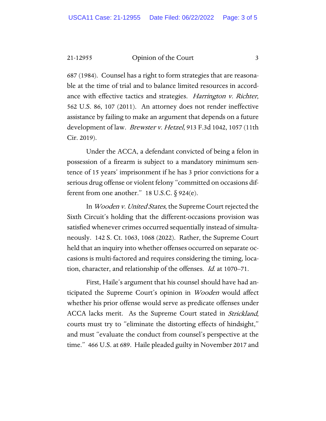21-12955 Opinion of the Court 3

687 (1984). Counsel has a right to form strategies that are reasonable at the time of trial and to balance limited resources in accordance with effective tactics and strategies. *Harrington v. Richter*, 562 U.S. 86, 107 (2011). An attorney does not render ineffective assistance by failing to make an argument that depends on a future development of law. *Brewster v. Hetzel*, 913 F.3d 1042, 1057 (11th Cir. 2019).

Under the ACCA, a defendant convicted of being a felon in possession of a firearm is subject to a mandatory minimum sentence of 15 years' imprisonment if he has 3 prior convictions for a serious drug offense or violent felony "committed on occasions different from one another." 18 U.S.C.  $\S$  924(e).

In Wooden v. United States, the Supreme Court rejected the Sixth Circuit's holding that the different-occasions provision was satisfied whenever crimes occurred sequentially instead of simultaneously. 142 S. Ct. 1063, 1068 (2022). Rather, the Supreme Court held that an inquiry into whether offenses occurred on separate occasions is multi-factored and requires considering the timing, location, character, and relationship of the offenses. Id. at 1070–71.

First, Haile's argument that his counsel should have had anticipated the Supreme Court's opinion in *Wooden* would affect whether his prior offense would serve as predicate offenses under ACCA lacks merit. As the Supreme Court stated in Strickland, courts must try to "eliminate the distorting effects of hindsight," and must "evaluate the conduct from counsel's perspective at the time." 466 U.S. at 689. Haile pleaded guilty in November 2017 and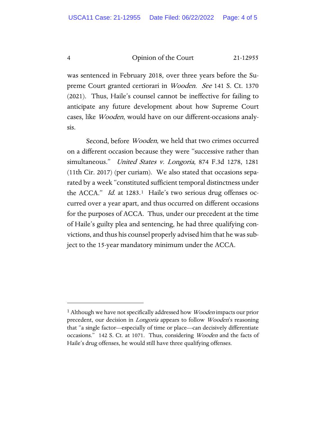4 Opinion of the Court 21-12955

was sentenced in February 2018, over three years before the Supreme Court granted certiorari in Wooden. See 141 S. Ct. 1370 (2021). Thus, Haile's counsel cannot be ineffective for failing to anticipate any future development about how Supreme Court cases, like Wooden, would have on our different-occasions analysis.

Second, before *Wooden*, we held that two crimes occurred on a different occasion because they were "successive rather than simultaneous." United States v. Longoria, 874 F.3d 1278, 1281 (11th Cir. 2017) (per curiam). We also stated that occasions separated by a week "constituted sufficient temporal distinctness under the ACCA." *Id.* at 1283.<sup>1</sup> Haile's two serious drug offenses occurred over a year apart, and thus occurred on different occasions for the purposes of ACCA. Thus, under our precedent at the time of Haile's guilty plea and sentencing, he had three qualifying convictions, and thus his counsel properly advised him that he was subject to the 15-year mandatory minimum under the ACCA.

<span id="page-3-0"></span><sup>&</sup>lt;sup>1</sup> Although we have not specifically addressed how *Wooden* impacts our prior precedent, our decision in *Longoria* appears to follow *Wooden's* reasoning that "a single factor—especially of time or place—can decisively differentiate occasions." 142 S. Ct. at 1071. Thus, considering Wooden and the facts of Haile's drug offenses, he would still have three qualifying offenses.